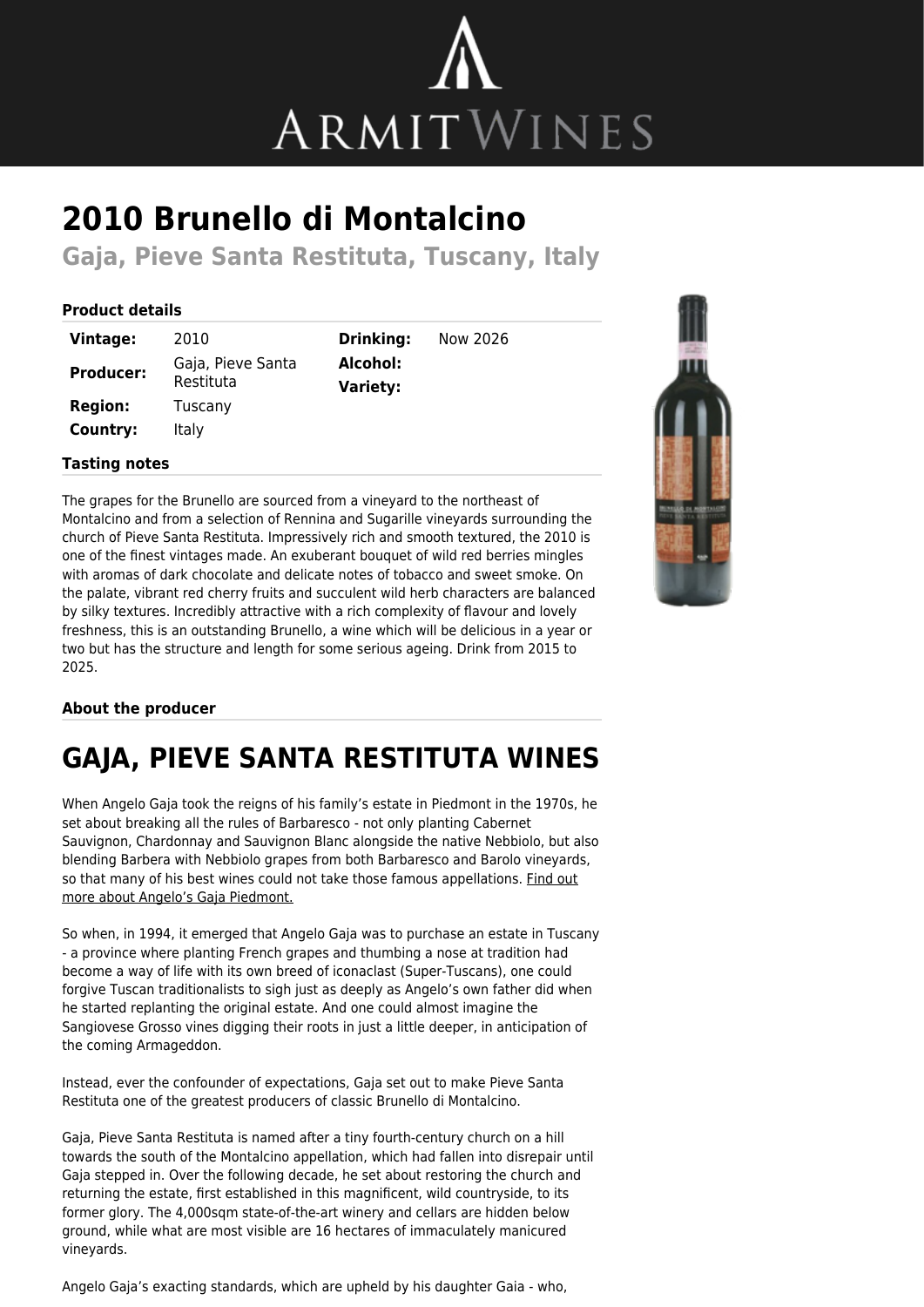

# **2010 Brunello di Montalcino**

**Gaja, Pieve Santa Restituta, Tuscany, Italy**

#### **Product details**

| Vintage:         | 2010                           |
|------------------|--------------------------------|
| <b>Producer:</b> | Gaja, Pieve Santa<br>Restituta |
| <b>Region:</b>   | Tuscany                        |
| Country:         | Italy                          |

**Drinking:** Now 2026 **Alcohol: Variety:**

#### **Tasting notes**

The grapes for the Brunello are sourced from a vineyard to the northeast of Montalcino and from a selection of Rennina and Sugarille vineyards surrounding the church of Pieve Santa Restituta. Impressively rich and smooth textured, the 2010 is one of the finest vintages made. An exuberant bouquet of wild red berries mingles with aromas of dark chocolate and delicate notes of tobacco and sweet smoke. On the palate, vibrant red cherry fruits and succulent wild herb characters are balanced by silky textures. Incredibly attractive with a rich complexity of flavour and lovely freshness, this is an outstanding Brunello, a wine which will be delicious in a year or two but has the structure and length for some serious ageing. Drink from 2015 to 2025.

### **About the producer**

## **GAJA, PIEVE SANTA RESTITUTA WINES**

When Angelo Gaja took the reigns of his family's estate in Piedmont in the 1970s, he set about breaking all the rules of Barbaresco - not only planting Cabernet Sauvignon, Chardonnay and Sauvignon Blanc alongside the native Nebbiolo, but also blending Barbera with Nebbiolo grapes from both Barbaresco and Barolo vineyards, so that many of his best wines could not take those famous appellations. [Find out](https://www.armitwines.co.uk/producer/gaja-piedmont/121) [more about Angelo's Gaja Piedmont.](https://www.armitwines.co.uk/producer/gaja-piedmont/121)

So when, in 1994, it emerged that Angelo Gaja was to purchase an estate in Tuscany - a province where planting French grapes and thumbing a nose at tradition had become a way of life with its own breed of iconaclast (Super-Tuscans), one could forgive Tuscan traditionalists to sigh just as deeply as Angelo's own father did when he started replanting the original estate. And one could almost imagine the Sangiovese Grosso vines digging their roots in just a little deeper, in anticipation of the coming Armageddon.

Instead, ever the confounder of expectations, Gaja set out to make Pieve Santa Restituta one of the greatest producers of classic Brunello di Montalcino.

Gaja, Pieve Santa Restituta is named after a tiny fourth-century church on a hill towards the south of the Montalcino appellation, which had fallen into disrepair until Gaja stepped in. Over the following decade, he set about restoring the church and returning the estate, first established in this magnificent, wild countryside, to its former glory. The 4,000sqm state-of-the-art winery and cellars are hidden below ground, while what are most visible are 16 hectares of immaculately manicured vineyards.

Angelo Gaja's exacting standards, which are upheld by his daughter Gaia - who,